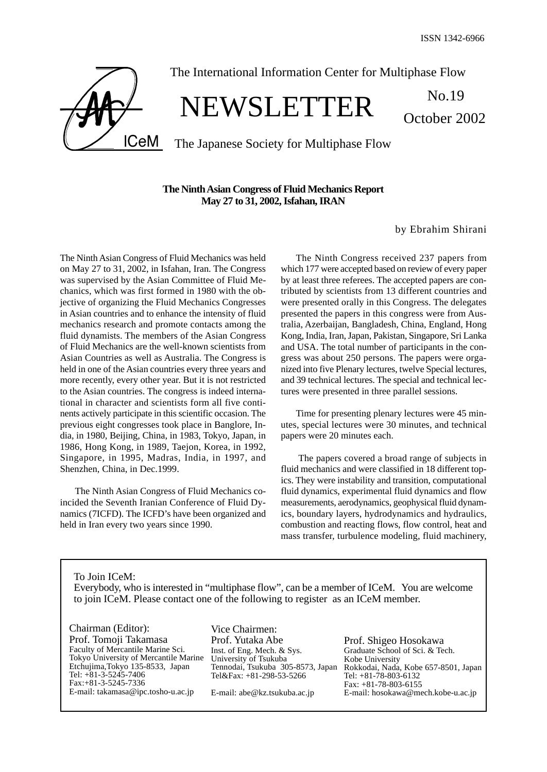October 2002

**ICeM** 

# The International Information Center for Multiphase Flow

# NEWSLETTER No.19

The Japanese Society for Multiphase Flow

# **The Ninth Asian Congress of Fluid Mechanics Report May 27 to 31, 2002, Isfahan, IRAN**

by Ebrahim Shirani

The Ninth Asian Congress of Fluid Mechanics was held on May 27 to 31, 2002, in Isfahan, Iran. The Congress was supervised by the Asian Committee of Fluid Mechanics, which was first formed in 1980 with the objective of organizing the Fluid Mechanics Congresses in Asian countries and to enhance the intensity of fluid mechanics research and promote contacts among the fluid dynamists. The members of the Asian Congress of Fluid Mechanics are the well-known scientists from Asian Countries as well as Australia. The Congress is held in one of the Asian countries every three years and more recently, every other year. But it is not restricted to the Asian countries. The congress is indeed international in character and scientists form all five continents actively participate in this scientific occasion. The previous eight congresses took place in Banglore, India, in 1980, Beijing, China, in 1983, Tokyo, Japan, in 1986, Hong Kong, in 1989, Taejon, Korea, in 1992, Singapore, in 1995, Madras, India, in 1997, and Shenzhen, China, in Dec.1999.

The Ninth Asian Congress of Fluid Mechanics coincided the Seventh Iranian Conference of Fluid Dynamics (7ICFD). The ICFD's have been organized and held in Iran every two years since 1990.

The Ninth Congress received 237 papers from which 177 were accepted based on review of every paper by at least three referees. The accepted papers are contributed by scientists from 13 different countries and were presented orally in this Congress. The delegates presented the papers in this congress were from Australia, Azerbaijan, Bangladesh, China, England, Hong Kong, India, Iran, Japan, Pakistan, Singapore, Sri Lanka and USA. The total number of participants in the congress was about 250 persons. The papers were organized into five Plenary lectures, twelve Special lectures, and 39 technical lectures. The special and technical lectures were presented in three parallel sessions.

Time for presenting plenary lectures were 45 minutes, special lectures were 30 minutes, and technical papers were 20 minutes each.

 The papers covered a broad range of subjects in fluid mechanics and were classified in 18 different topics. They were instability and transition, computational fluid dynamics, experimental fluid dynamics and flow measurements, aerodynamics, geophysical fluid dynamics, boundary layers, hydrodynamics and hydraulics, combustion and reacting flows, flow control, heat and mass transfer, turbulence modeling, fluid machinery,

To Join ICeM: Everybody, who is interested in "multiphase flow", can be a member of ICeM. You are welcome to join ICeM. Please contact one of the following to register as an ICeM member.

Chairman (Editor): Prof. Tomoji Takamasa Faculty of Mercantile Marine Sci. Tokyo University of Mercantile Marine Etchujima,Tokyo 135-8533, Japan Tel: +81-3-5245-7406 Fax:+81-3-5245-7336 E-mail: takamasa@ipc.tosho-u.ac.jp

Vice Chairmen: Prof. Yutaka Abe Inst. of Eng. Mech. & Sys. University of Tsukuba Tennodai, Tsukuba 305-8573, Japan Tel&Fax: +81-298-53-5266

E-mail: abe@kz.tsukuba.ac.jp

Prof. Shigeo Hosokawa Graduate School of Sci. & Tech. Kobe University Rokkodai, Nada, Kobe 657-8501, Japan Tel: +81-78-803-6132 Fax: +81-78-803-6155 E-mail: hosokawa@mech.kobe-u.ac.jp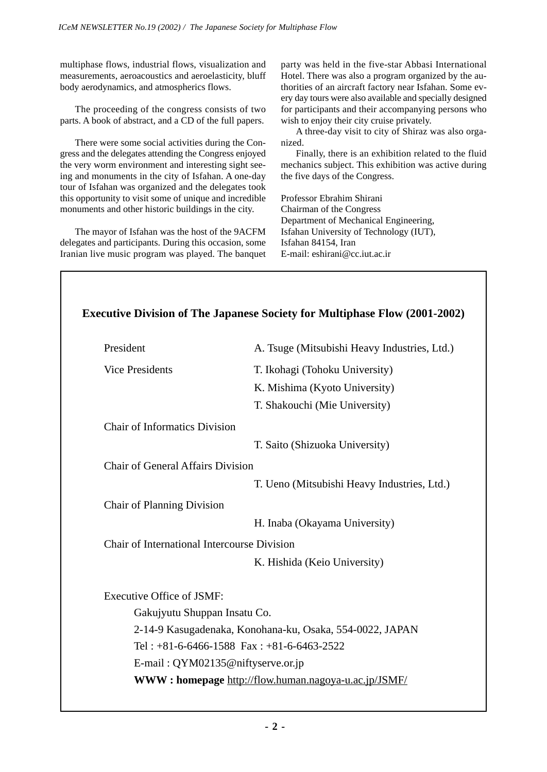multiphase flows, industrial flows, visualization and measurements, aeroacoustics and aeroelasticity, bluff body aerodynamics, and atmospherics flows.

The proceeding of the congress consists of two parts. A book of abstract, and a CD of the full papers.

There were some social activities during the Congress and the delegates attending the Congress enjoyed the very worm environment and interesting sight seeing and monuments in the city of Isfahan. A one-day tour of Isfahan was organized and the delegates took this opportunity to visit some of unique and incredible monuments and other historic buildings in the city.

The mayor of Isfahan was the host of the 9ACFM delegates and participants. During this occasion, some Iranian live music program was played. The banquet

party was held in the five-star Abbasi International Hotel. There was also a program organized by the authorities of an aircraft factory near Isfahan. Some every day tours were also available and specially designed for participants and their accompanying persons who wish to enjoy their city cruise privately.

A three-day visit to city of Shiraz was also organized.

Finally, there is an exhibition related to the fluid mechanics subject. This exhibition was active during the five days of the Congress.

Professor Ebrahim Shirani Chairman of the Congress Department of Mechanical Engineering, Isfahan University of Technology (IUT), Isfahan 84154, Iran E-mail: eshirani@cc.iut.ac.ir

| President                                   | A. Tsuge (Mitsubishi Heavy Industries, Ltd.)             |
|---------------------------------------------|----------------------------------------------------------|
| <b>Vice Presidents</b>                      | T. Ikohagi (Tohoku University)                           |
|                                             | K. Mishima (Kyoto University)                            |
|                                             | T. Shakouchi (Mie University)                            |
| <b>Chair of Informatics Division</b>        |                                                          |
|                                             | T. Saito (Shizuoka University)                           |
| Chair of General Affairs Division           |                                                          |
|                                             | T. Ueno (Mitsubishi Heavy Industries, Ltd.)              |
| <b>Chair of Planning Division</b>           |                                                          |
|                                             | H. Inaba (Okayama University)                            |
| Chair of International Intercourse Division |                                                          |
|                                             | K. Hishida (Keio University)                             |
| <b>Executive Office of JSMF:</b>            |                                                          |
| Gakujyutu Shuppan Insatu Co.                |                                                          |
|                                             | 2-14-9 Kasugadenaka, Konohana-ku, Osaka, 554-0022, JAPAN |
|                                             | Tel: $+81-6-6466-1588$ Fax: $+81-6-6463-2522$            |
|                                             | E-mail: QYM02135@niftyserve.or.jp                        |
|                                             | WWW: homepage http://flow.human.nagoya-u.ac.jp/JSMF/     |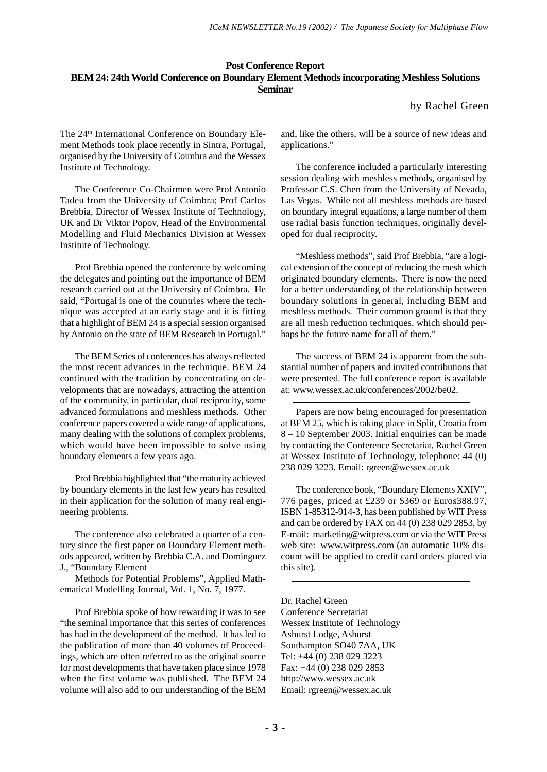# **Post Conference Report BEM 24: 24th World Conference on Boundary Element Methods incorporating Meshless Solutions Seminar**

by Rachel Green

The 24<sup>th</sup> International Conference on Boundary Element Methods took place recently in Sintra, Portugal, organised by the University of Coimbra and the Wessex Institute of Technology.

The Conference Co-Chairmen were Prof Antonio Tadeu from the University of Coimbra; Prof Carlos Brebbia, Director of Wessex Institute of Technology, UK and Dr Viktor Popov, Head of the Environmental Modelling and Fluid Mechanics Division at Wessex Institute of Technology.

Prof Brebbia opened the conference by welcoming the delegates and pointing out the importance of BEM research carried out at the University of Coimbra. He said, "Portugal is one of the countries where the technique was accepted at an early stage and it is fitting that a highlight of BEM 24 is a special session organised by Antonio on the state of BEM Research in Portugal."

The BEM Series of conferences has always reflected the most recent advances in the technique. BEM 24 continued with the tradition by concentrating on developments that are nowadays, attracting the attention of the community, in particular, dual reciprocity, some advanced formulations and meshless methods. Other conference papers covered a wide range of applications, many dealing with the solutions of complex problems, which would have been impossible to solve using boundary elements a few years ago.

Prof Brebbia highlighted that "the maturity achieved by boundary elements in the last few years has resulted in their application for the solution of many real engineering problems.

The conference also celebrated a quarter of a century since the first paper on Boundary Element methods appeared, written by Brebbia C.A. and Dominguez J., "Boundary Element

Methods for Potential Problems", Applied Mathematical Modelling Journal, Vol. 1, No. 7, 1977.

Prof Brebbia spoke of how rewarding it was to see "the seminal importance that this series of conferences has had in the development of the method. It has led to the publication of more than 40 volumes of Proceedings, which are often referred to as the original source for most developments that have taken place since 1978 when the first volume was published. The BEM 24 volume will also add to our understanding of the BEM and, like the others, will be a source of new ideas and applications."

The conference included a particularly interesting session dealing with meshless methods, organised by Professor C.S. Chen from the University of Nevada, Las Vegas. While not all meshless methods are based on boundary integral equations, a large number of them use radial basis function techniques, originally developed for dual reciprocity.

"Meshless methods", said Prof Brebbia, "are a logical extension of the concept of reducing the mesh which originated boundary elements. There is now the need for a better understanding of the relationship between boundary solutions in general, including BEM and meshless methods. Their common ground is that they are all mesh reduction techniques, which should perhaps be the future name for all of them."

The success of BEM 24 is apparent from the substantial number of papers and invited contributions that were presented. The full conference report is available at: www.wessex.ac.uk/conferences/2002/be02.

Papers are now being encouraged for presentation at BEM 25, which is taking place in Split, Croatia from 8 – 10 September 2003. Initial enquiries can be made by contacting the Conference Secretariat, Rachel Green at Wessex Institute of Technology, telephone: 44 (0) 238 029 3223. Email: rgreen@wessex.ac.uk

The conference book, "Boundary Elements XXIV", 776 pages, priced at £239 or \$369 or Euros388.97, ISBN 1-85312-914-3, has been published by WIT Press and can be ordered by FAX on 44 (0) 238 029 2853, by E-mail: marketing@witpress.com or via the WIT Press web site: www.witpress.com (an automatic 10% discount will be applied to credit card orders placed via this site).

Dr. Rachel Green Conference Secretariat Wessex Institute of Technology Ashurst Lodge, Ashurst Southampton SO40 7AA, UK Tel: +44 (0) 238 029 3223 Fax: +44 (0) 238 029 2853 http://www.wessex.ac.uk Email: rgreen@wessex.ac.uk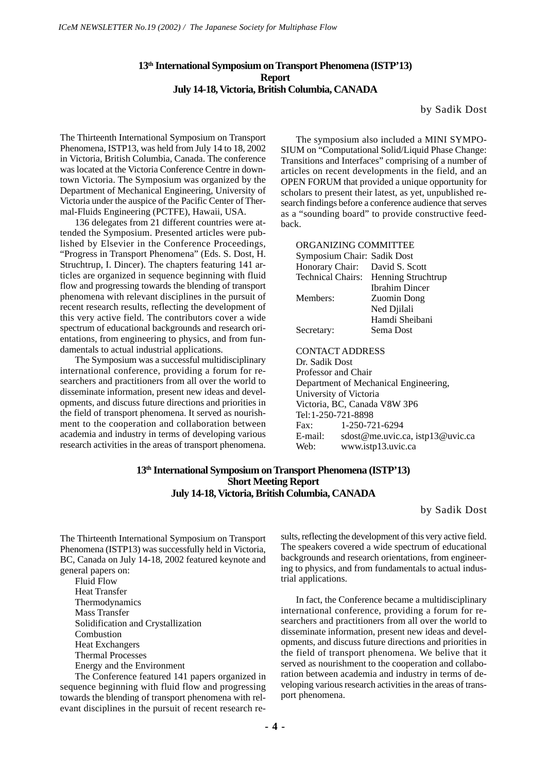# **13th International Symposium on Transport Phenomena (ISTP'13) Report July 14-18, Victoria, British Columbia, CANADA**

by Sadik Dost

The Thirteenth International Symposium on Transport Phenomena, ISTP13, was held from July 14 to 18, 2002 in Victoria, British Columbia, Canada. The conference was located at the Victoria Conference Centre in downtown Victoria. The Symposium was organized by the Department of Mechanical Engineering, University of Victoria under the auspice of the Pacific Center of Thermal-Fluids Engineering (PCTFE), Hawaii, USA.

136 delegates from 21 different countries were attended the Symposium. Presented articles were published by Elsevier in the Conference Proceedings, "Progress in Transport Phenomena" (Eds. S. Dost, H. Struchtrup, I. Dincer). The chapters featuring 141 articles are organized in sequence beginning with fluid flow and progressing towards the blending of transport phenomena with relevant disciplines in the pursuit of recent research results, reflecting the development of this very active field. The contributors cover a wide spectrum of educational backgrounds and research orientations, from engineering to physics, and from fundamentals to actual industrial applications.

The Symposium was a successful multidisciplinary international conference, providing a forum for researchers and practitioners from all over the world to disseminate information, present new ideas and developments, and discuss future directions and priorities in the field of transport phenomena. It served as nourishment to the cooperation and collaboration between academia and industry in terms of developing various research activities in the areas of transport phenomena.

The symposium also included a MINI SYMPO-SIUM on "Computational Solid/Liquid Phase Change: Transitions and Interfaces" comprising of a number of articles on recent developments in the field, and an OPEN FORUM that provided a unique opportunity for scholars to present their latest, as yet, unpublished research findings before a conference audience that serves as a "sounding board" to provide constructive feedback.

| ORGANIZING COMMITTEE           |                                      |
|--------------------------------|--------------------------------------|
| Symposium Chair: Sadik Dost    |                                      |
| Honorary Chair: David S. Scott |                                      |
|                                | Technical Chairs: Henning Struchtrup |
|                                | <b>Ibrahim Dincer</b>                |
| Members:                       | Zuomin Dong                          |
|                                | Ned Djilali                          |
|                                | Hamdi Sheibani                       |
| Secretary:                     | Sema Dost                            |
|                                |                                      |
|                                |                                      |

CONTACT ADDRESS Dr. Sadik Dost Professor and Chair Department of Mechanical Engineering, University of Victoria Victoria, BC, Canada V8W 3P6 Tel:1-250-721-8898 Fax: 1-250-721-6294 E-mail: sdost@me.uvic.ca, istp13@uvic.ca<br>Web: www.istp13.uvic.ca www.istp13.uvic.ca

# **13th International Symposium on Transport Phenomena (ISTP'13) Short Meeting Report July 14-18, Victoria, British Columbia, CANADA**

by Sadik Dost

The Thirteenth International Symposium on Transport Phenomena (ISTP13) was successfully held in Victoria, BC, Canada on July 14-18, 2002 featured keynote and general papers on:

Fluid Flow Heat Transfer Thermodynamics Mass Transfer Solidification and Crystallization Combustion Heat Exchangers Thermal Processes Energy and the Environment

The Conference featured 141 papers organized in sequence beginning with fluid flow and progressing towards the blending of transport phenomena with relevant disciplines in the pursuit of recent research results, reflecting the development of this very active field. The speakers covered a wide spectrum of educational backgrounds and research orientations, from engineering to physics, and from fundamentals to actual industrial applications.

In fact, the Conference became a multidisciplinary international conference, providing a forum for researchers and practitioners from all over the world to disseminate information, present new ideas and developments, and discuss future directions and priorities in the field of transport phenomena. We belive that it served as nourishment to the cooperation and collaboration between academia and industry in terms of developing various research activities in the areas of transport phenomena.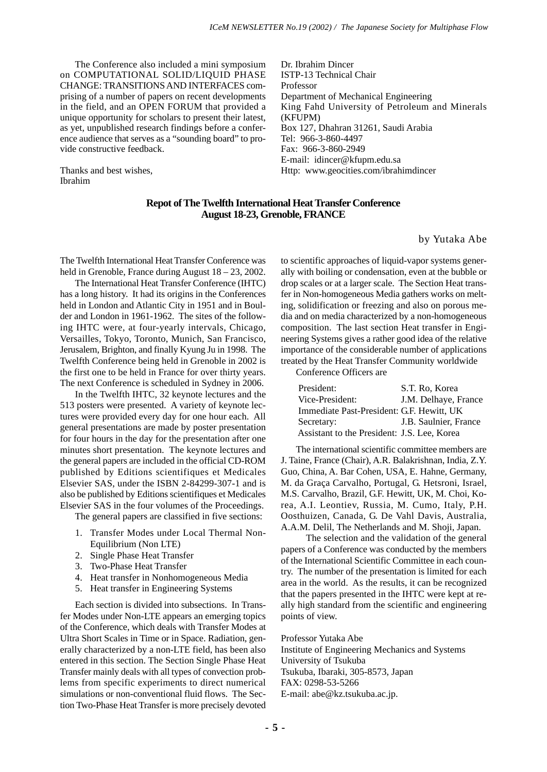The Conference also included a mini symposium on COMPUTATIONAL SOLID/LIQUID PHASE CHANGE: TRANSITIONS AND INTERFACES comprising of a number of papers on recent developments in the field, and an OPEN FORUM that provided a unique opportunity for scholars to present their latest, as yet, unpublished research findings before a conference audience that serves as a "sounding board" to provide constructive feedback.

Thanks and best wishes, Ibrahim

Dr. Ibrahim Dincer ISTP-13 Technical Chair Professor Department of Mechanical Engineering King Fahd University of Petroleum and Minerals (KFUPM) Box 127, Dhahran 31261, Saudi Arabia Tel: 966-3-860-4497 Fax: 966-3-860-2949 E-mail: idincer@kfupm.edu.sa Http: www.geocities.com/ibrahimdincer

#### **Repot of The Twelfth International Heat Transfer Conference August 18-23, Grenoble, FRANCE**

by Yutaka Abe

The Twelfth International Heat Transfer Conference was held in Grenoble, France during August  $18 - 23$ , 2002.

The International Heat Transfer Conference (IHTC) has a long history. It had its origins in the Conferences held in London and Atlantic City in 1951 and in Boulder and London in 1961-1962. The sites of the following IHTC were, at four-yearly intervals, Chicago, Versailles, Tokyo, Toronto, Munich, San Francisco, Jerusalem, Brighton, and finally Kyung Ju in 1998. The Twelfth Conference being held in Grenoble in 2002 is the first one to be held in France for over thirty years. The next Conference is scheduled in Sydney in 2006.

In the Twelfth IHTC, 32 keynote lectures and the 513 posters were presented. A variety of keynote lectures were provided every day for one hour each. All general presentations are made by poster presentation for four hours in the day for the presentation after one minutes short presentation. The keynote lectures and the general papers are included in the official CD-ROM published by Editions scientifiques et Medicales Elsevier SAS, under the ISBN 2-84299-307-1 and is also be published by Editions scientifiques et Medicales Elsevier SAS in the four volumes of the Proceedings.

The general papers are classified in five sections:

- 1. Transfer Modes under Local Thermal Non-Equilibrium (Non LTE)
- 2. Single Phase Heat Transfer
- 3. Two-Phase Heat Transfer
- 4. Heat transfer in Nonhomogeneous Media
- 5. Heat transfer in Engineering Systems

Each section is divided into subsections. In Transfer Modes under Non-LTE appears an emerging topics of the Conference, which deals with Transfer Modes at Ultra Short Scales in Time or in Space. Radiation, generally characterized by a non-LTE field, has been also entered in this section. The Section Single Phase Heat Transfer mainly deals with all types of convection problems from specific experiments to direct numerical simulations or non-conventional fluid flows. The Section Two-Phase Heat Transfer is more precisely devoted to scientific approaches of liquid-vapor systems generally with boiling or condensation, even at the bubble or drop scales or at a larger scale. The Section Heat transfer in Non-homogeneous Media gathers works on melting, solidification or freezing and also on porous media and on media characterized by a non-homogeneous composition. The last section Heat transfer in Engineering Systems gives a rather good idea of the relative importance of the considerable number of applications treated by the Heat Transfer Community worldwide

Conference Officers are

| President:                                  | S.T. Ro, Korea        |
|---------------------------------------------|-----------------------|
| Vice-President:                             | J.M. Delhaye, France  |
| Immediate Past-President: G.F. Hewitt, UK   |                       |
| Secretary:                                  | J.B. Saulnier, France |
| Assistant to the President: J.S. Lee, Korea |                       |

The international scientific committee members are J. Taine, France (Chair), A.R. Balakrishnan, India, Z.Y. Guo, China, A. Bar Cohen, USA, E. Hahne, Germany, M. da Graça Carvalho, Portugal, G. Hetsroni, Israel, M.S. Carvalho, Brazil, G.F. Hewitt, UK, M. Choi, Korea, A.I. Leontiev, Russia, M. Cumo, Italy, P.H. Oosthuizen, Canada, G. De Vahl Davis, Australia, A.A.M. Delil, The Netherlands and M. Shoji, Japan.

 The selection and the validation of the general papers of a Conference was conducted by the members of the International Scientific Committee in each country. The number of the presentation is limited for each area in the world. As the results, it can be recognized that the papers presented in the IHTC were kept at really high standard from the scientific and engineering points of view.

Professor Yutaka Abe Institute of Engineering Mechanics and Systems University of Tsukuba Tsukuba, Ibaraki, 305-8573, Japan FAX: 0298-53-5266 E-mail: abe@kz.tsukuba.ac.jp.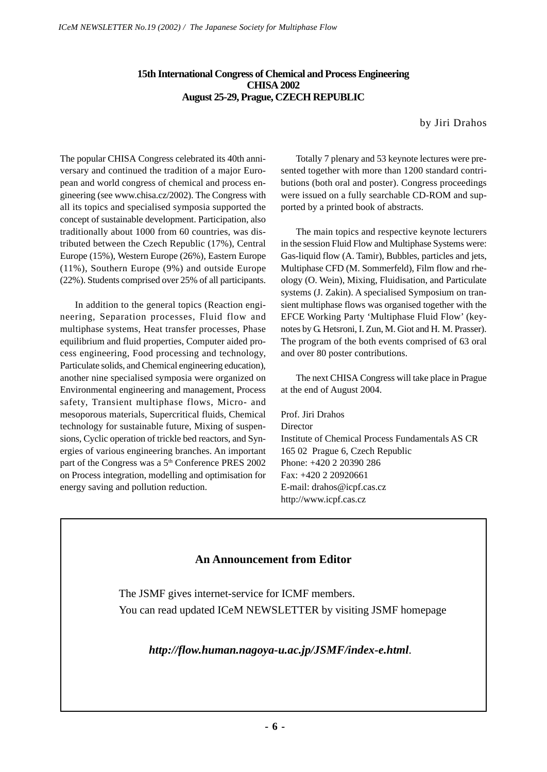# **15th International Congress of Chemical and Process Engineering CHISA 2002 August 25-29, Prague, CZECH REPUBLIC**

by Jiri Drahos

The popular CHISA Congress celebrated its 40th anniversary and continued the tradition of a major European and world congress of chemical and process engineering (see www.chisa.cz/2002). The Congress with all its topics and specialised symposia supported the concept of sustainable development. Participation, also traditionally about 1000 from 60 countries, was distributed between the Czech Republic (17%), Central Europe (15%), Western Europe (26%), Eastern Europe (11%), Southern Europe (9%) and outside Europe (22%). Students comprised over 25% of all participants.

In addition to the general topics (Reaction engineering, Separation processes, Fluid flow and multiphase systems, Heat transfer processes, Phase equilibrium and fluid properties, Computer aided process engineering, Food processing and technology, Particulate solids, and Chemical engineering education), another nine specialised symposia were organized on Environmental engineering and management, Process safety, Transient multiphase flows, Micro- and mesoporous materials, Supercritical fluids, Chemical technology for sustainable future, Mixing of suspensions, Cyclic operation of trickle bed reactors, and Synergies of various engineering branches. An important part of the Congress was a 5<sup>th</sup> Conference PRES 2002 on Process integration, modelling and optimisation for energy saving and pollution reduction.

Totally 7 plenary and 53 keynote lectures were presented together with more than 1200 standard contributions (both oral and poster). Congress proceedings were issued on a fully searchable CD-ROM and supported by a printed book of abstracts.

The main topics and respective keynote lecturers in the session Fluid Flow and Multiphase Systems were: Gas-liquid flow (A. Tamir), Bubbles, particles and jets, Multiphase CFD (M. Sommerfeld), Film flow and rheology (O. Wein), Mixing, Fluidisation, and Particulate systems (J. Zakin). A specialised Symposium on transient multiphase flows was organised together with the EFCE Working Party 'Multiphase Fluid Flow' (keynotes by G. Hetsroni, I. Zun, M. Giot and H. M. Prasser). The program of the both events comprised of 63 oral and over 80 poster contributions.

The next CHISA Congress will take place in Prague at the end of August 2004.

Prof. Jiri Drahos **Director** Institute of Chemical Process Fundamentals AS CR 165 02 Prague 6, Czech Republic Phone: +420 2 20390 286 Fax: +420 2 20920661 E-mail: drahos@icpf.cas.cz http://www.icpf.cas.cz

# **An Announcement from Editor**

The JSMF gives internet-service for ICMF members. You can read updated ICeM NEWSLETTER by visiting JSMF homepage

 *http://flow.human.nagoya-u.ac.jp/JSMF/index-e.html*.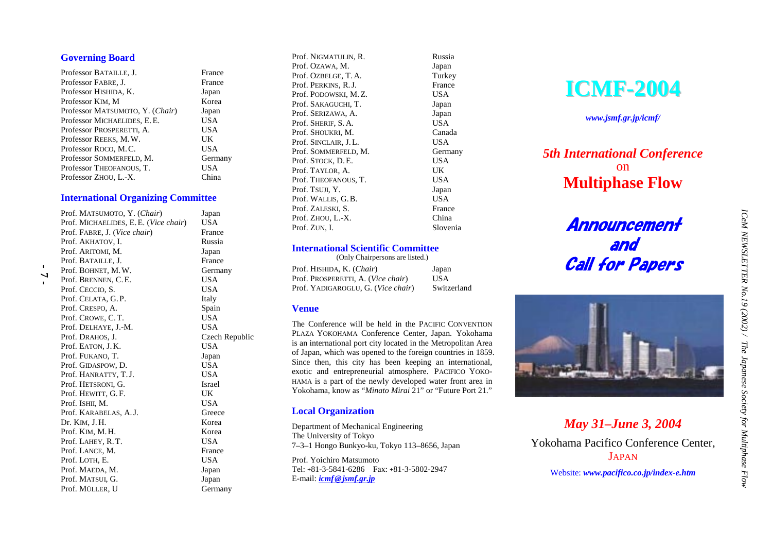# **Governing Board**

| Professor BATAILLE, J.          | France  |
|---------------------------------|---------|
| Professor FABRE, J.             | France  |
| Professor HISHIDA, K.           | Japan   |
| Professor KIM, M                | Korea   |
| Professor MATSUMOTO, Y. (Chair) | Japan   |
| Professor MICHAELIDES, E.E.     | USA     |
| Professor PROSPERETTI, A.       | USA     |
| Professor REEKS, M.W.           | UK      |
| Professor ROCO, M.C.            | USA     |
| Professor SOMMERFELD, M.        | Germany |
| Professor THEOFANOUS, T.        | USA     |
| Professor ZHOU, L.-X.           | China   |
|                                 |         |

#### **International Organizing Committee**

| Prof. MATSUMOTO, Y. (Chair)          | Japan          |
|--------------------------------------|----------------|
| Prof. MICHAELIDES, E.E. (Vice chair) | USA            |
| Prof. FABRE, J. (Vice chair)         | France         |
| Prof. AKHATOV, I.                    | Russia         |
| Prof. ARITOMI, M.                    | Japan          |
| Prof. BATAILLE, J.                   | France         |
| Prof. BOHNET, M.W.                   | Germany        |
| Prof. BRENNEN, C.E.                  | USA            |
| Prof. CECCIO, S.                     | USA            |
| Prof. CELATA, G.P.                   | Italy          |
| Prof. CRESPO, A.                     | Spain          |
| Prof. CROWE, C.T.                    | USA            |
| Prof. DELHAYE, J.-M.                 | USA            |
| Prof. DRAHOS, J.                     | Czech Republic |
| Prof. EATON, J.K.                    | <b>USA</b>     |
| Prof. FUKANO, T.                     | Japan          |
| Prof. GIDASPOW, D.                   | <b>USA</b>     |
| Prof. HANRATTY, T.J.                 | <b>USA</b>     |
| Prof. HETSRONI, G.                   | <b>Israel</b>  |
| Prof. HEWITT, G.F.                   | UK             |
| Prof. ISHII, M.                      | USA            |
| Prof. KARABELAS, A.J.                | Greece         |
| Dr. KIM, J.H.                        | Korea          |
| Prof. KIM, M.H.                      | Korea          |
| Prof. LAHEY, R.T.                    | USA            |
| Prof. LANCE, M.                      | France         |
| Prof. LOTH, E.                       | USA            |
| Prof. MAEDA, M.                      | Japan          |
| Prof. MATSUI, G.                     | Japan          |
| Prof. MÜLLER, U                      | Germany        |

Prof. NIGMATULIN, R. Russia Prof. OZAWA, M. Japan Prof. OZBELGE, T.A. Turkey Prof. PERKINS, R.J. France Prof. PODOWSKI, M.Z. USA Prof. SAKAGUCHI, T. Japan Prof. SERIZAWA, A. Japan Prof. SHERIF, S.A. USA Prof. SHOUKRI, M. Canada Prof. SINCLAIR, J.L. USA Prof. SOMMERFELD, M. Germany Prof. STOCK, D.E. USA Prof. TAYLOR, A. UK Prof. THEOFANOUS, T. USA Prof. TSUJI, Y. Japan Prof. WALLIS, G.B. USA Prof. ZALESKI, S. France Prof. ZHOU, L.-X. China Prof. ZUN, I. Slovenia

#### **International Scientific Committee**

 (Only Chairpersons are listed.) Prof. HISHIDA, K. (*Chair*) Japan Prof. PROSPERETTI, A. (*Vice chair*) USA Prof. YADIGAROGLU, G. (*Vice chair*) Switzerland

#### **Venue**

The Conference will be held in the PACIFIC CONVENTION PLAZA YOKOHAMA Conference Center, Japan. Yokohama is an international port city located in the Metropolitan Area of Japan, which was opened to the foreign countries in 1859. Since then, this city has been keeping an international, exotic and entrepreneurial atmosphere. PACIFICO YOKO-HAMA is a part of the newly developed water front area in Yokohama, know as "*Minato Mirai* 21" or "Future Port 21."

# **Local Organization**

Department of Mechanical Engineering The University of Tokyo 7–3–1 Hongo Bunkyo-ku, Tokyo 113–8656, Japan Prof. Yoichiro Matsumoto Tel: **+**81-3-5841-6286 Fax: **+**81-3-5802-2947 E-mail: *icmf@jsmf.gr.jp*

**ICMF-2004**

*www.jsmf.gr.jp/icmf/*

# *5th International Conference* on **Multiphase Flow**

# Announcement and Call for Papers



*May 31–June 3, 2004*  Yokohama Pacifico Conference Center, JAPAN

Website: *www.pacifico.co.jp/index-e.htm*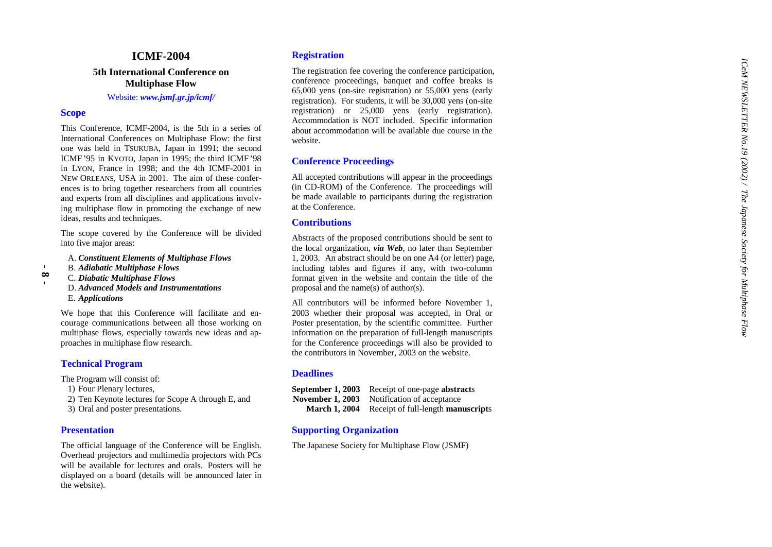# **ICMF-2004**

# **5th International Conference on Multiphase Flow**

Website: *www.jsmf.gr.jp/icmf/*

#### **Scope**

 **- 8 -**

This Conference, ICMF-2004, is the 5th in a series of International Conferences on Multiphase Flow: the first one was held in TSUKUBA, Japan in 1991; the second ICMF'95 in KYOTO, Japan in 1995; the third ICMF'98 in LYON, France in 1998; and the 4th ICMF-2001 in NEW ORLEANS, USA in 2001. The aim of these conferences is to bring together researchers from all countries and experts from all disciplines and applications involving multiphase flow in promoting the exchange of new ideas, results and techniques.

The scope covered by the Conference will be divided into five major areas:

A. *Constituent Elements of Multiphase Flows*

- B. *Adiabatic Multiphase Flows*
- C. *Diabatic Multiphase Flows*
	- D. *Advanced Models and Instrumentations*E. *Applications*

We hope that this Conference will facilitate and encourage communications between all those working on multiphase flows, especially towards new ideas and approaches in multiphase flow research.

# **Technical Program**

The Program will consist of:

- 1) Four Plenary lectures,
- 2) Ten Keynote lectures for Scope A through E, and
- 3) Oral and poster presentations.

#### **Presentation**

The official language of the Conference will be English. Overhead projectors and multimedia projectors with PCs will be available for lectures and orals. Posters will be displayed on a board (details will be announced later in the website).

#### **Registration**

The registration fee covering the conference participation, conference proceedings, banquet and coffee breaks is 65,000 yens (on-site registration) or 55,000 yens (early registration). For students, it will be 30,000 yens (on-site registration) or 25,000 yens (early registration). Accommodation is NOT included. Specific information about accommodation will be available due course in the website.

#### **Conference Proceedings**

All accepted contributions will appear in the proceedings (in CD-ROM) of the Conference. The proceedings will be made available to participants during the registration at the Conference.

#### **Contributions**

Abstracts of the proposed contributions should be sent to the local organization, *via Web*, no later than September 1, 2003. An abstract should be on one A4 (or letter) page, including tables and figures if any, with two-column format given in the website and contain the title of the proposal and the name(s) of author(s).

All contributors will be informed before November 1, 2003 whether their proposal was accepted, in Oral or Poster presentation, by the scientific committee. Further information on the preparation of full-length manuscripts for the Conference proceedings will also be provided to the contributors in November, 2003 on the website.

#### **Deadlines**

**September 1, 2003** Receipt of one-page **abstract**<sup>s</sup> **November 1, 2003** Notification of acceptance

**March 1, 2004** Receipt of full-length **manuscript**<sup>s</sup>

#### **Supporting Organization**

The Japanese Society for Multiphase Flow (JSMF)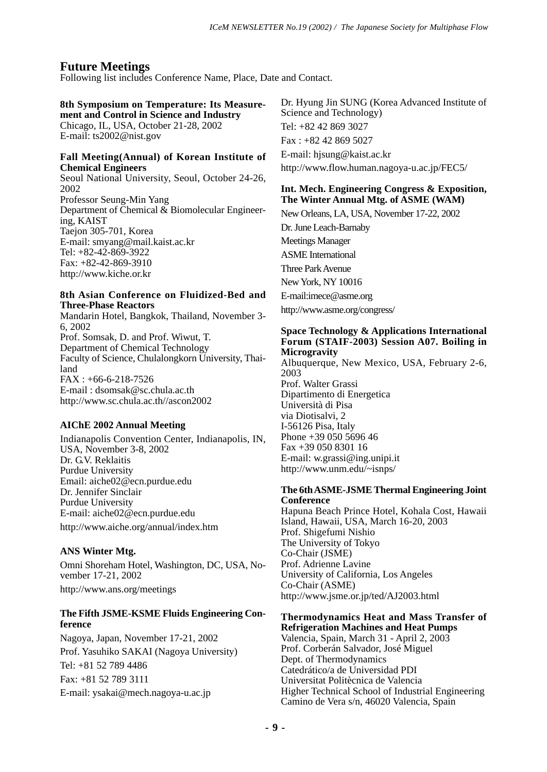# **Future Meetings**

Following list includes Conference Name, Place, Date and Contact.

#### **8th Symposium on Temperature: Its Measurement and Control in Science and Industry** Chicago, IL, USA, October 21-28, 2002

E-mail: ts2002@nist.gov

# **Fall Meeting(Annual) of Korean Institute of Chemical Engineers**

Seoul National University, Seoul, October 24-26, 2002 Professor Seung-Min Yang Department of Chemical & Biomolecular Engineering, KAIST Taejon 305-701, Korea E-mail: smyang@mail.kaist.ac.kr Tel: +82-42-869-3922 Fax: +82-42-869-3910 http://www.kiche.or.kr

# **8th Asian Conference on Fluidized-Bed and Three-Phase Reactors**

Mandarin Hotel, Bangkok, Thailand, November 3- 6, 2002 Prof. Somsak, D. and Prof. Wiwut, T. Department of Chemical Technology Faculty of Science, Chulalongkorn University, Thailand FAX : +66-6-218-7526 E-mail : dsomsak@sc.chula.ac.th http://www.sc.chula.ac.th//ascon2002

# **AIChE 2002 Annual Meeting**

Indianapolis Convention Center, Indianapolis, IN, USA, November 3-8, 2002 Dr. G.V. Reklaitis Purdue University Email: aiche02@ecn.purdue.edu Dr. Jennifer Sinclair Purdue University E-mail: aiche02@ecn.purdue.edu http://www.aiche.org/annual/index.htm

# **ANS Winter Mtg.**

Omni Shoreham Hotel, Washington, DC, USA, November 17-21, 2002 http://www.ans.org/meetings

# **The Fifth JSME-KSME Fluids Engineering Conference**

Nagoya, Japan, November 17-21, 2002 Prof. Yasuhiko SAKAI (Nagoya University) Tel: +81 52 789 4486 Fax: +81 52 789 3111 E-mail: ysakai@mech.nagoya-u.ac.jp

Dr. Hyung Jin SUNG (Korea Advanced Institute of Science and Technology) Tel: +82 42 869 3027 Fax : +82 42 869 5027 E-mail: hjsung@kaist.ac.kr http://www.flow.human.nagoya-u.ac.jp/FEC5/

# **Int. Mech. Engineering Congress & Exposition, The Winter Annual Mtg. of ASME (WAM)**

New Orleans, LA, USA, November 17-22, 2002 Dr. June Leach-Barnaby Meetings Manager ASME International Three Park Avenue New York, NY 10016 E-mail:imece@asme.org http://www.asme.org/congress/

#### **Space Technology & Applications International Forum (STAIF-2003) Session A07. Boiling in Microgravity**

Albuquerque, New Mexico, USA, February 2-6, 2003 Prof. Walter Grassi Dipartimento di Energetica Università di Pisa via Diotisalvi, 2 I-56126 Pisa, Italy Phone +39 050 5696 46 Fax +39 050 8301 16 E-mail: w.grassi@ing.unipi.it http://www.unm.edu/~isnps/

# **The 6th ASME-JSME Thermal Engineering Joint Conference**

Hapuna Beach Prince Hotel, Kohala Cost, Hawaii Island, Hawaii, USA, March 16-20, 2003 Prof. Shigefumi Nishio The University of Tokyo Co-Chair (JSME) Prof. Adrienne Lavine University of California, Los Angeles Co-Chair (ASME) http://www.jsme.or.jp/ted/AJ2003.html

#### **Thermodynamics Heat and Mass Transfer of Refrigeration Machines and Heat Pumps**

Valencia, Spain, March 31 - April 2, 2003 Prof. Corberán Salvador, José Miguel Dept. of Thermodynamics Catedrático/a de Universidad PDI Universitat Politècnica de Valencia Higher Technical School of Industrial Engineering Camino de Vera s/n, 46020 Valencia, Spain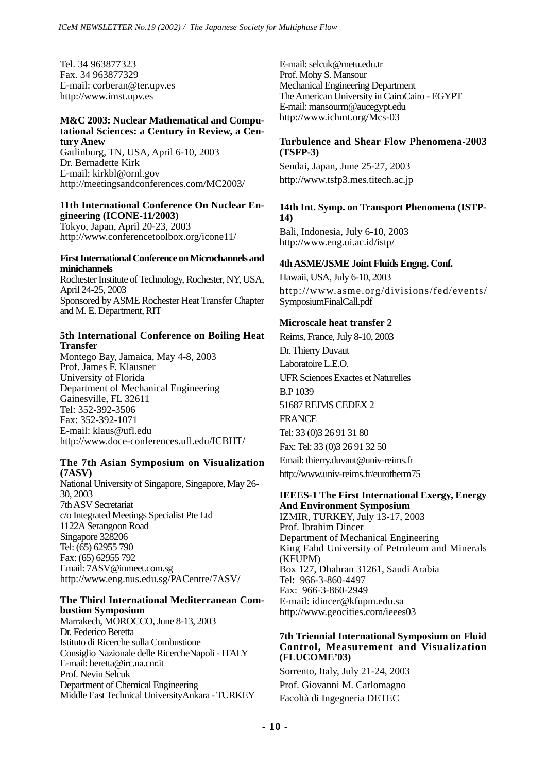Tel. 34 963877323 Fax. 34 963877329 E-mail: corberan@ter.upv.es http://www.imst.upv.es

#### **M&C 2003: Nuclear Mathematical and Computational Sciences: a Century in Review, a Century Anew**

Gatlinburg, TN, USA, April 6-10, 2003 Dr. Bernadette Kirk E-mail: kirkbl@ornl.gov http://meetingsandconferences.com/MC2003/

#### **11th International Conference On Nuclear Engineering (ICONE-11/2003)**

Tokyo, Japan, April 20-23, 2003 http://www.conferencetoolbox.org/icone11/

#### **First International Conference on Microchannels and minichannels**

Rochester Institute of Technology, Rochester, NY, USA, April 24-25, 2003 Sponsored by ASME Rochester Heat Transfer Chapter and M. E. Department, RIT

# **5th International Conference on Boiling Heat Transfer**

Montego Bay, Jamaica, May 4-8, 2003 Prof. James F. Klausner University of Florida Department of Mechanical Engineering Gainesville, FL 32611 Tel: 352-392-3506 Fax: 352-392-1071 E-mail: klaus@ufl.edu http://www.doce-conferences.ufl.edu/ICBHT/

# **The 7th Asian Symposium on Visualization (7ASV)**

National University of Singapore, Singapore, May 26- 30, 2003 7th ASV Secretariat c/o Integrated Meetings Specialist Pte Ltd 1122A Serangoon Road Singapore 328206 Tel: (65) 62955 790 Fax: (65) 62955 792 Email: 7ASV@inmeet.com.sg http://www.eng.nus.edu.sg/PACentre/7ASV/

#### **The Third International Mediterranean Combustion Symposium**

Marrakech, MOROCCO, June 8-13, 2003 Dr. Federico Beretta Istituto di Ricerche sulla Combustione Consiglio Nazionale delle RicercheNapoli - ITALY E-mail: beretta@irc.na.cnr.it Prof. Nevin Selcuk Department of Chemical Engineering Middle East Technical UniversityAnkara - TURKEY E-mail: selcuk@metu.edu.tr Prof. Mohy S. Mansour Mechanical Engineering Department The American University in CairoCairo - EGYPT E-mail: mansourm@aucegypt.edu http://www.ichmt.org/Mcs-03

# **Turbulence and Shear Flow Phenomena-2003 (TSFP-3)**

Sendai, Japan, June 25-27, 2003 http://www.tsfp3.mes.titech.ac.jp

# **14th Int. Symp. on Transport Phenomena (ISTP-14)**

Bali, Indonesia, July 6-10, 2003 http://www.eng.ui.ac.id/istp/

# **4th ASME/JSME Joint Fluids Engng. Conf.**

Hawaii, USA, July 6-10, 2003 http://www.asme.org/divisions/fed/events/ SymposiumFinalCall.pdf

# **Microscale heat transfer 2**

Reims, France, July 8-10, 2003 Dr. Thierry Duvaut Laboratoire L.E.O. UFR Sciences Exactes et Naturelles B.P 1039 51687 REIMS CEDEX 2 FRANCE Tel: 33 (0)3 26 91 31 80 Fax: Tel: 33 (0)3 26 91 32 50

Email: thierry.duvaut@univ-reims.fr http://www.univ-reims.fr/eurotherm75

# **IEEES-1 The First International Exergy, Energy**

**And Environment Symposium** IZMIR, TURKEY, July 13-17, 2003 Prof. Ibrahim Dincer Department of Mechanical Engineering King Fahd University of Petroleum and Minerals (KFUPM) Box 127, Dhahran 31261, Saudi Arabia Tel: 966-3-860-4497 Fax: 966-3-860-2949 E-mail: idincer@kfupm.edu.sa http://www.geocities.com/ieees03

#### **7th Triennial International Symposium on Fluid Control, Measurement and Visualization (FLUCOME'03)**

Sorrento, Italy, July 21-24, 2003 Prof. Giovanni M. Carlomagno Facoltà di Ingegneria DETEC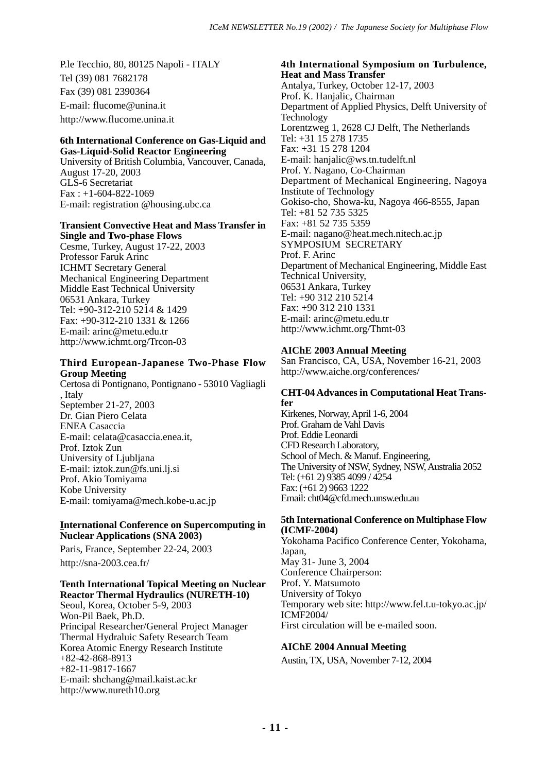P.le Tecchio, 80, 80125 Napoli - ITALY Tel (39) 081 7682178 Fax (39) 081 2390364 E-mail: flucome@unina.it http://www.flucome.unina.it

#### **6th International Conference on Gas-Liquid and Gas-Liquid-Solid Reactor Engineering**

University of British Columbia, Vancouver, Canada, August 17-20, 2003 GLS-6 Secretariat  $Fax : +1-604-822-1069$ E-mail: registration @housing.ubc.ca

#### **Transient Convective Heat and Mass Transfer in Single and Two-phase Flows**

Cesme, Turkey, August 17-22, 2003 Professor Faruk Arinc ICHMT Secretary General Mechanical Engineering Department Middle East Technical University 06531 Ankara, Turkey Tel: +90-312-210 5214 & 1429 Fax: +90-312-210 1331 & 1266 E-mail: arinc@metu.edu.tr http://www.ichmt.org/Trcon-03

# **Third European-Japanese Two-Phase Flow Group Meeting**

Certosa di Pontignano, Pontignano - 53010 Vagliagli , Italy September 21-27, 2003 Dr. Gian Piero Celata ENEA Casaccia E-mail: celata@casaccia.enea.it, Prof. Iztok Zun University of Ljubljana E-mail: iztok.zun@fs.uni.lj.si Prof. Akio Tomiyama Kobe University E-mail: tomiyama@mech.kobe-u.ac.jp

# **International Conference on Supercomputing in Nuclear Applications (SNA 2003)**

Paris, France, September 22-24, 2003 http://sna-2003.cea.fr/

# **Tenth International Topical Meeting on Nuclear Reactor Thermal Hydraulics (NURETH-10)**

Seoul, Korea, October 5-9, 2003 Won-Pil Baek, Ph.D. Principal Researcher/General Project Manager Thermal Hydraluic Safety Research Team Korea Atomic Energy Research Institute +82-42-868-8913 +82-11-9817-1667 E-mail: shchang@mail.kaist.ac.kr http://www.nureth10.org

**4th International Symposium on Turbulence, Heat and Mass Transfer** Antalya, Turkey, October 12-17, 2003 Prof. K. Hanjalic, Chairman Department of Applied Physics, Delft University of **Technology** Lorentzweg 1, 2628 CJ Delft, The Netherlands Tel: +31 15 278 1735 Fax: +31 15 278 1204 E-mail: hanjalic@ws.tn.tudelft.nl Prof. Y. Nagano, Co-Chairman Department of Mechanical Engineering, Nagoya Institute of Technology Gokiso-cho, Showa-ku, Nagoya 466-8555, Japan Tel: +81 52 735 5325 Fax: +81 52 735 5359 E-mail: nagano@heat.mech.nitech.ac.jp SYMPOSIUM SECRETARY Prof. F. Arinc Department of Mechanical Engineering, Middle East Technical University, 06531 Ankara, Turkey Tel: +90 312 210 5214 Fax: +90 312 210 1331 E-mail: arinc@metu.edu.tr http://www.ichmt.org/Thmt-03

# **AIChE 2003 Annual Meeting**

San Francisco, CA, USA, November 16-21, 2003 http://www.aiche.org/conferences/

# **CHT-04 Advances in Computational Heat Transfer**

Kirkenes, Norway, April 1-6, 2004 Prof. Graham de Vahl Davis Prof. Eddie Leonardi CFD Research Laboratory, School of Mech. & Manuf. Engineering, The University of NSW, Sydney, NSW, Australia 2052 Tel: (+61 2) 9385 4099 / 4254 Fax: (+61 2) 9663 1222 Email: cht04@cfd.mech.unsw.edu.au

# **5th International Conference on Multiphase Flow (ICMF-2004)**

Yokohama Pacifico Conference Center, Yokohama, Japan, May 31- June 3, 2004 Conference Chairperson: Prof. Y. Matsumoto University of Tokyo Temporary web site: http://www.fel.t.u-tokyo.ac.jp/ ICMF2004/ First circulation will be e-mailed soon.

# **AIChE 2004 Annual Meeting**

Austin, TX, USA, November 7-12, 2004